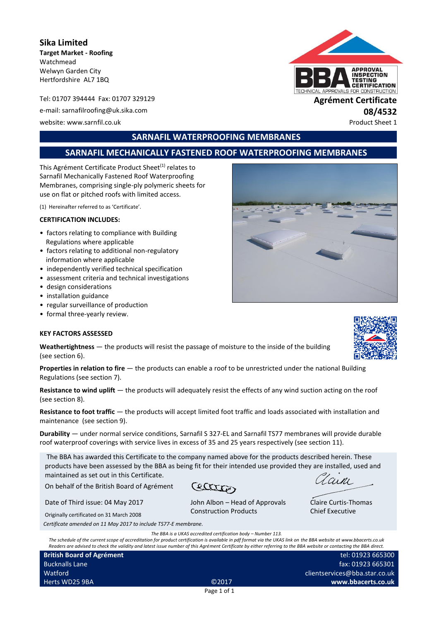**Sika Limited Target Market - Roofing** Watchmead Welwyn Garden City Hertfordshire AL7 1BQ

Tel: 01707 394444 Fax: 01707 329129 **Agrément Certificate** e-mail: sarnafilroofing@uk.sika.com **08/4532**

website: www.sarnfil.co.uk Product Sheet 1

# **SARNAFIL WATERPROOFING MEMBRANES**

# **SARNAFIL MECHANICALLY FASTENED ROOF WATERPROOFING MEMBRANES**

This Agrément Certificate Product Sheet<sup>(1)</sup> relates to Sarnafil Mechanically Fastened Roof Waterproofing Membranes, comprising single-ply polymeric sheets for use on flat or pitched roofs with limited access.

(1) Hereinafter referred to as 'Certificate'.

#### **CERTIFICATION INCLUDES:**

- factors relating to compliance with Building Regulations where applicable
- factors relating to additional non-regulatory information where applicable
- independently verified technical specification
- assessment criteria and technical investigations
- design considerations
- installation guidance
- regular surveillance of production
- formal three-yearly review.

#### **KEY FACTORS ASSESSED**

**Weathertightness** — the products will resist the passage of moisture to the inside of the building (see section 6).

**Properties in relation to fire** — the products can enable a roof to be unrestricted under the national Building Regulations (see section 7).

**Resistance to wind uplift** — the products will adequately resist the effects of any wind suction acting on the roof (see section 8).

**Resistance to foot traffic** — the products will accept limited foot traffic and loads associated with installation and maintenance (see section 9).

**Durability** — under normal service conditions, Sarnafil S 327-EL and Sarnafil TS77 membranes will provide durable roof waterproof coverings with service lives in excess of 35 and 25 years respectively (see section 11).

The BBA has awarded this Certificate to the company named above for the products described herein. These products have been assessed by the BBA as being fit for their intended use provided they are installed, used and maintained as set out in this Certificate.

On behalf of the British Board of Agrément

Cetter

John Albon – Head of Approvals

Date of Third issue: 04 May 2017

Originally certificated on 31 March 2008

*Certificate amended on 11 May 2017 to include TS77-E membrane.*

*The BBA is a UKAS accredited certification body – Number 113.*

Construction Products

*The schedule of the current scope of accreditation for product certification is available in pdf format via the UKAS link on the BBA website at www.bbacerts.co.uk Readers are advised to check the validity and latest issue number of this Agrément Certificate by either referring to the BBA website or contacting the BBA direct.*

**British Board of Agrément** Bucknalls Lane Watford Herts WD25 9BA ©2017



**APPROVAL INSPECTION** *FESTING* **CERTIFICATION** ROVALS FOR CONSTRUCTION







Claire Curtis-Thomas Chief Executive

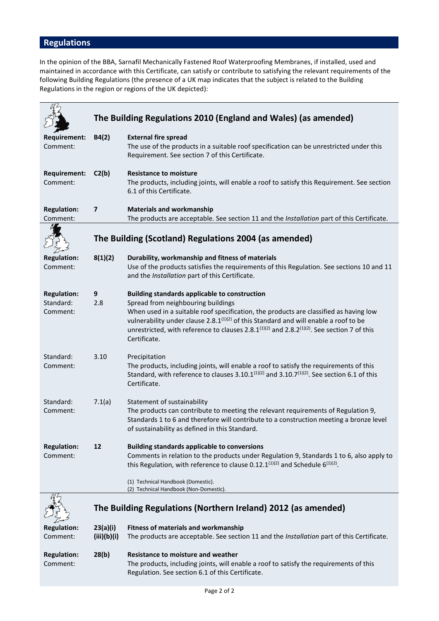# **Regulations**

In the opinion of the BBA, Sarnafil Mechanically Fastened Roof Waterproofing Membranes, if installed, used and maintained in accordance with this Certificate, can satisfy or contribute to satisfying the relevant requirements of the following Building Regulations (the presence of a UK map indicates that the subject is related to the Building Regulations in the region or regions of the UK depicted):

|                                             |                         | The Building Regulations 2010 (England and Wales) (as amended)                                                                                                                                                                                                                                                                                                                                                           |  |  |  |
|---------------------------------------------|-------------------------|--------------------------------------------------------------------------------------------------------------------------------------------------------------------------------------------------------------------------------------------------------------------------------------------------------------------------------------------------------------------------------------------------------------------------|--|--|--|
| <b>Requirement:</b><br>Comment:             | B4(2)                   | <b>External fire spread</b><br>The use of the products in a suitable roof specification can be unrestricted under this<br>Requirement. See section 7 of this Certificate.                                                                                                                                                                                                                                                |  |  |  |
| <b>Requirement:</b><br>Comment:             | C2(b)                   | <b>Resistance to moisture</b><br>The products, including joints, will enable a roof to satisfy this Requirement. See section<br>6.1 of this Certificate.                                                                                                                                                                                                                                                                 |  |  |  |
| <b>Regulation:</b><br>Comment:              | 7                       | <b>Materials and workmanship</b><br>The products are acceptable. See section 11 and the Installation part of this Certificate.                                                                                                                                                                                                                                                                                           |  |  |  |
|                                             |                         | The Building (Scotland) Regulations 2004 (as amended)                                                                                                                                                                                                                                                                                                                                                                    |  |  |  |
| <b>Regulation:</b><br>Comment:              | 8(1)(2)                 | Durability, workmanship and fitness of materials<br>Use of the products satisfies the requirements of this Regulation. See sections 10 and 11<br>and the Installation part of this Certificate.                                                                                                                                                                                                                          |  |  |  |
| <b>Regulation:</b><br>Standard:<br>Comment: | 9<br>2.8                | <b>Building standards applicable to construction</b><br>Spread from neighbouring buildings<br>When used in a suitable roof specification, the products are classified as having low<br>vulnerability under clause 2.8. $1^{(1)(2)}$ of this Standard and will enable a roof to be<br>unrestricted, with reference to clauses 2.8.1 <sup>(1)(2)</sup> and 2.8.2 <sup>(1)(2)</sup> . See section 7 of this<br>Certificate. |  |  |  |
| Standard:<br>Comment:                       | 3.10                    | Precipitation<br>The products, including joints, will enable a roof to satisfy the requirements of this<br>Standard, with reference to clauses 3.10.1 $(1)(2)$ and 3.10.7 $(1)(2)$ . See section 6.1 of this<br>Certificate.                                                                                                                                                                                             |  |  |  |
| Standard:<br>Comment:                       | 7.1(a)                  | Statement of sustainability<br>The products can contribute to meeting the relevant requirements of Regulation 9,<br>Standards 1 to 6 and therefore will contribute to a construction meeting a bronze level<br>of sustainability as defined in this Standard.                                                                                                                                                            |  |  |  |
| <b>Regulation:</b><br>Comment:              | 12                      | <b>Building standards applicable to conversions</b><br>Comments in relation to the products under Regulation 9, Standards 1 to 6, also apply to<br>this Regulation, with reference to clause 0.12.1 <sup>(1)(2)</sup> and Schedule $6^{(1)(2)}$ .<br>(1) Technical Handbook (Domestic).                                                                                                                                  |  |  |  |
|                                             |                         | (2) Technical Handbook (Non-Domestic).                                                                                                                                                                                                                                                                                                                                                                                   |  |  |  |
|                                             |                         | The Building Regulations (Northern Ireland) 2012 (as amended)                                                                                                                                                                                                                                                                                                                                                            |  |  |  |
| <b>Regulation:</b><br>Comment:              | 23(a)(i)<br>(iii)(b)(i) | <b>Fitness of materials and workmanship</b><br>The products are acceptable. See section 11 and the Installation part of this Certificate.                                                                                                                                                                                                                                                                                |  |  |  |
| <b>Regulation:</b><br>Comment:              | 28(b)                   | <b>Resistance to moisture and weather</b><br>The products, including joints, will enable a roof to satisfy the requirements of this<br>Regulation. See section 6.1 of this Certificate.                                                                                                                                                                                                                                  |  |  |  |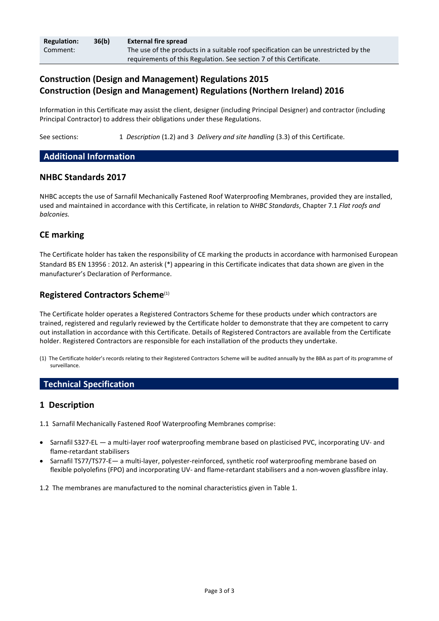| <b>Regulation:</b> | 36(b) | <b>External fire spread</b>                                                         |  |  |
|--------------------|-------|-------------------------------------------------------------------------------------|--|--|
| Comment:           |       | The use of the products in a suitable roof specification can be unrestricted by the |  |  |
|                    |       | requirements of this Regulation. See section 7 of this Certificate.                 |  |  |

# **Construction (Design and Management) Regulations 2015 Construction (Design and Management) Regulations (Northern Ireland) 2016**

Information in this Certificate may assist the client, designer (including Principal Designer) and contractor (including Principal Contractor) to address their obligations under these Regulations.

See sections: 1 *Description* (1.2) and 3 *Delivery and site handling* (3.3) of this Certificate.

## **Additional Information**

### **NHBC Standards 2017**

NHBC accepts the use of Sarnafil Mechanically Fastened Roof Waterproofing Membranes, provided they are installed, used and maintained in accordance with this Certificate, in relation to *NHBC Standards*, Chapter 7.1 *Flat roofs and balconies.*

## **CE marking**

The Certificate holder has taken the responsibility of CE marking the products in accordance with harmonised European Standard BS EN 13956 : 2012. An asterisk (\*) appearing in this Certificate indicates that data shown are given in the manufacturer's Declaration of Performance.

## **Registered Contractors Scheme**(1)

The Certificate holder operates a Registered Contractors Scheme for these products under which contractors are trained, registered and regularly reviewed by the Certificate holder to demonstrate that they are competent to carry out installation in accordance with this Certificate. Details of Registered Contractors are available from the Certificate holder. Registered Contractors are responsible for each installation of the products they undertake.

(1) The Certificate holder's records relating to their Registered Contractors Scheme will be audited annually by the BBA as part of its programme of surveillance.

# **Technical Specification**

## **1 Description**

- 1.1 Sarnafil Mechanically Fastened Roof Waterproofing Membranes comprise:
- Sarnafil S327-EL a multi-layer roof waterproofing membrane based on plasticised PVC, incorporating UV- and flame-retardant stabilisers
- Sarnafil TS77/TS77-E— a multi-layer, polyester-reinforced, synthetic roof waterproofing membrane based on flexible polyolefins (FPO) and incorporating UV- and flame-retardant stabilisers and a non-woven glassfibre inlay.

1.2 The membranes are manufactured to the nominal characteristics given in Table 1.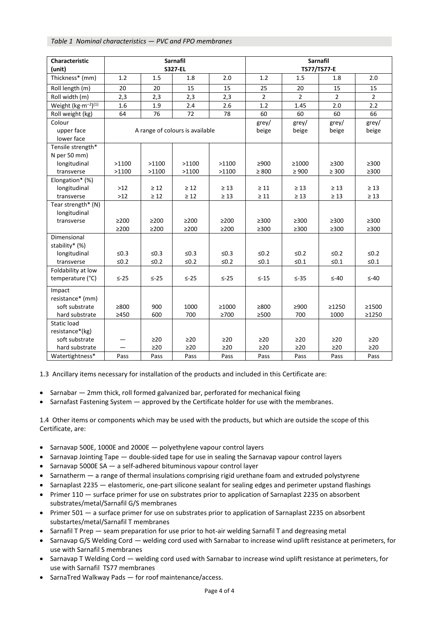#### *Table 1 Nominal characteristics — PVC and FPO membranes*

| <b>Characteristic</b><br>(unit)             | <b>Sarnafil</b><br><b>S327-EL</b> |            |            |            | <b>Sarnafil</b><br>TS77/TS77-E |                |                |                |
|---------------------------------------------|-----------------------------------|------------|------------|------------|--------------------------------|----------------|----------------|----------------|
| Thickness* (mm)                             | 1.2                               | 1.5        | 1.8        | 2.0        | 1.2                            | 1.5            | 1.8            | 2.0            |
| Roll length (m)                             | 20                                | 20         | 15         | 15         | 25                             | 20             | 15             | 15             |
| Roll width (m)                              | 2,3                               | 2,3        | 2,3        | 2,3        | $\overline{2}$                 | $\overline{2}$ | $\overline{2}$ | $\overline{2}$ |
| Weight (kg·m <sup>-2</sup> ) <sup>(1)</sup> | 1.6                               | 1.9        | 2.4        | 2.6        | 1.2                            | 1.45           | 2.0            | 2.2            |
| Roll weight (kg)                            | 64                                | 76         | 72         | 78         | 60                             | 60             | 60             | 66             |
| Colour                                      |                                   |            |            | grey/      | grey/                          | grey/          | grey/          |                |
| upper face                                  | A range of colours is available   |            |            | beige      | beige                          | beige          | beige          |                |
| lower face                                  |                                   |            |            |            |                                |                |                |                |
| Tensile strength*                           |                                   |            |            |            |                                |                |                |                |
| N per 50 mm)                                |                                   |            |            |            |                                |                |                |                |
| longitudinal                                | >1100                             | >1100      | >1100      | >1100      | $\geq 900$                     | ≥1000          | $\geq 300$     | $\geq 300$     |
| transverse                                  | >1100                             | >1100      | >1100      | >1100      | $\geq 800$                     | $\geq 900$     | $\geq 300$     | $\geq$ 300     |
| Elongation* (%)                             |                                   |            |            |            |                                |                |                |                |
| longitudinal                                | $>12$                             | $\geq 12$  | $\geq 12$  | $\geq 13$  | $\geq 11$                      | $\geq 13$      | $\geq 13$      | $\geq 13$      |
| transverse                                  | $>12$                             | $\geq 12$  | $\geq 12$  | $\geq 13$  | $\geq 11$                      | $\geq 13$      | $\geq 13$      | $\geq 13$      |
| Tear strength* (N)                          |                                   |            |            |            |                                |                |                |                |
| longitudinal                                |                                   |            |            |            |                                |                |                |                |
| transverse                                  | $\geq$ 200                        | $\geq$ 200 | $\geq$ 200 | $\geq$ 200 | $\geq 300$                     | $\geq 300$     | $\geq 300$     | $\geq 300$     |
|                                             | $\geq$ 200                        | $\geq$ 200 | $\geq$ 200 | $\geq$ 200 | $\geq$ 300                     | $\geq$ 300     | $\geq 300$     | $\geq$ 300     |
| Dimensional                                 |                                   |            |            |            |                                |                |                |                |
| stability* (%)<br>longitudinal              | $\leq 0.3$                        | $\leq 0.3$ | $\leq 0.3$ | $\leq 0.3$ | $≤0.2$                         | $≤0.2$         | $≤0.2$         | $\leq 0.2$     |
| transverse                                  | $\leq 0.2$                        | $\leq 0.2$ | $≤0.2$     | $\leq 0.2$ | $≤0.1$                         | $\leq 0.1$     | $≤0.1$         | $\leq 0.1$     |
| Foldability at low                          |                                   |            |            |            |                                |                |                |                |
| temperature (°C)                            | $\leq -25$                        | $\leq -25$ | $\leq -25$ | $\leq -25$ | $\leq -15$                     | $\leq -35$     | $\leq -40$     | $\leq -40$     |
|                                             |                                   |            |            |            |                                |                |                |                |
| Impact                                      |                                   |            |            |            |                                |                |                |                |
| resistance* (mm)                            |                                   |            |            |            |                                |                |                |                |
| soft substrate                              | $\geq 800$                        | 900        | 1000       | ≥1000      | ≥800                           | $\geq 900$     | ≥1250          | ≥1500          |
| hard substrate                              | $\geq 450$                        | 600        | 700        | $\geq 700$ | $\geq 500$                     | 700            | 1000           | ≥1250          |
| <b>Static load</b>                          |                                   |            |            |            |                                |                |                |                |
| resistance*(kg)                             |                                   |            |            |            |                                |                |                |                |
| soft substrate                              |                                   | $\geq$ 20  | $\geq$ 20  | $\geq$ 20  | $\geq$ 20                      | $\geq$ 20      | $\geq$ 20      | $\geq$ 20      |
| hard substrate                              |                                   | $\geq$ 20  | $\geq$ 20  | $\geq$ 20  | $\geq$ 20                      | $\geq$ 20      | $\geq$ 20      | $\geq$ 20      |
| Watertightness*                             | Pass                              | Pass       | Pass       | Pass       | Pass                           | Pass           | Pass           | Pass           |

1.3 Ancillary items necessary for installation of the products and included in this Certificate are:

- Sarnabar 2mm thick, roll formed galvanized bar, perforated for mechanical fixing
- Sarnafast Fastening System approved by the Certificate holder for use with the membranes.

1.4 Other items or components which may be used with the products, but which are outside the scope of this Certificate, are:

- Sarnavap 500E, 1000E and 2000E polyethylene vapour control layers
- Sarnavap Jointing Tape double-sided tape for use in sealing the Sarnavap vapour control layers
- Sarnavap 5000E SA a self-adhered bituminous vapour control layer
- Sarnatherm a range of thermal insulations comprising rigid urethane foam and extruded polystyrene
- Sarnaplast 2235 elastomeric, one-part silicone sealant for sealing edges and perimeter upstand flashings
- Primer 110 surface primer for use on substrates prior to application of Sarnaplast 2235 on absorbent substrates/metal/Sarnafil G/S membranes
- Primer 501 a surface primer for use on substrates prior to application of Sarnaplast 2235 on absorbent substartes/metal/Sarnafil T membranes
- Sarnafil T Prep seam preparation for use prior to hot-air welding Sarnafil T and degreasing metal
- Sarnavap G/S Welding Cord welding cord used with Sarnabar to increase wind uplift resistance at perimeters, for use with Sarnafil S membranes
- Sarnavap T Welding Cord welding cord used with Sarnabar to increase wind uplift resistance at perimeters, for use with Sarnafil TS77 membranes
- SarnaTred Walkway Pads for roof maintenance/access.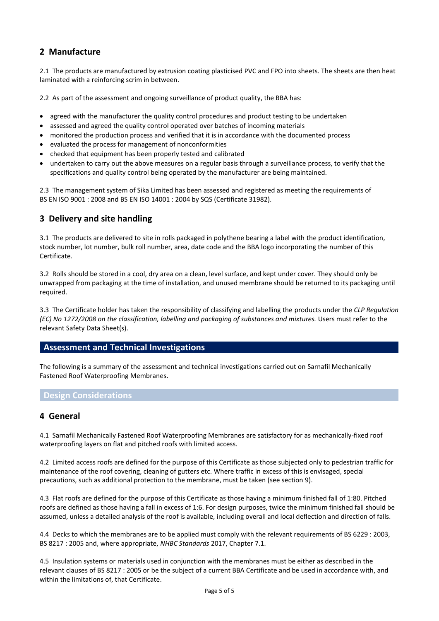# **2 Manufacture**

2.1 The products are manufactured by extrusion coating plasticised PVC and FPO into sheets. The sheets are then heat laminated with a reinforcing scrim in between.

2.2 As part of the assessment and ongoing surveillance of product quality, the BBA has:

- agreed with the manufacturer the quality control procedures and product testing to be undertaken
- assessed and agreed the quality control operated over batches of incoming materials
- monitored the production process and verified that it is in accordance with the documented process
- evaluated the process for management of nonconformities
- checked that equipment has been properly tested and calibrated
- undertaken to carry out the above measures on a regular basis through a surveillance process, to verify that the specifications and quality control being operated by the manufacturer are being maintained.

2.3 The management system of Sika Limited has been assessed and registered as meeting the requirements of BS EN ISO 9001 : 2008 and BS EN ISO 14001 : 2004 by SQS (Certificate 31982).

# **3 Delivery and site handling**

3.1 The products are delivered to site in rolls packaged in polythene bearing a label with the product identification, stock number, lot number, bulk roll number, area, date code and the BBA logo incorporating the number of this Certificate.

3.2 Rolls should be stored in a cool, dry area on a clean, level surface, and kept under cover. They should only be unwrapped from packaging at the time of installation, and unused membrane should be returned to its packaging until required.

3.3 The Certificate holder has taken the responsibility of classifying and labelling the products under the *CLP Regulation (EC) No 1272/2008 on the classification, labelling and packaging of substances and mixtures.* Users must refer to the relevant Safety Data Sheet(s).

## **Assessment and Technical Investigations**

The following is a summary of the assessment and technical investigations carried out on Sarnafil Mechanically Fastened Roof Waterproofing Membranes.

### **Design Considerations**

#### **4 General**

4.1 Sarnafil Mechanically Fastened Roof Waterproofing Membranes are satisfactory for as mechanically-fixed roof waterproofing layers on flat and pitched roofs with limited access.

4.2 Limited access roofs are defined for the purpose of this Certificate as those subjected only to pedestrian traffic for maintenance of the roof covering, cleaning of gutters etc. Where traffic in excess of this is envisaged, special precautions, such as additional protection to the membrane, must be taken (see section 9).

4.3 Flat roofs are defined for the purpose of this Certificate as those having a minimum finished fall of 1:80. Pitched roofs are defined as those having a fall in excess of 1:6. For design purposes, twice the minimum finished fall should be assumed, unless a detailed analysis of the roof is available, including overall and local deflection and direction of falls.

4.4 Decks to which the membranes are to be applied must comply with the relevant requirements of BS 6229 : 2003, BS 8217 : 2005 and, where appropriate, *NHBC Standards* 2017, Chapter 7.1.

4.5 Insulation systems or materials used in conjunction with the membranes must be either as described in the relevant clauses of BS 8217 : 2005 or be the subject of a current BBA Certificate and be used in accordance with, and within the limitations of, that Certificate.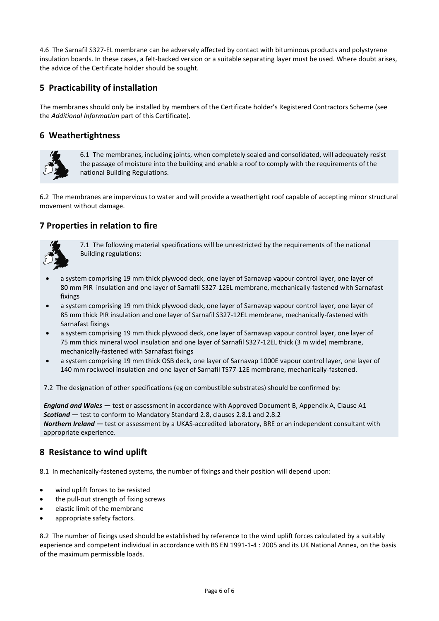4.6 The Sarnafil S327-EL membrane can be adversely affected by contact with bituminous products and polystyrene insulation boards. In these cases, a felt-backed version or a suitable separating layer must be used. Where doubt arises, the advice of the Certificate holder should be sought.

# **5 Practicability of installation**

The membranes should only be installed by members of the Certificate holder's Registered Contractors Scheme (see the *Additional Information* part of this Certificate).

# **6 Weathertightness**



6.1 The membranes, including joints, when completely sealed and consolidated, will adequately resist the passage of moisture into the building and enable a roof to comply with the requirements of the national Building Regulations.

6.2 The membranes are impervious to water and will provide a weathertight roof capable of accepting minor structural movement without damage.

# **7 Properties in relation to fire**



7.1 The following material specifications will be unrestricted by the requirements of the national Building regulations:

- a system comprising 19 mm thick plywood deck, one layer of Sarnavap vapour control layer, one layer of 80 mm PIR insulation and one layer of Sarnafil S327-12EL membrane, mechanically-fastened with Sarnafast fixings
- a system comprising 19 mm thick plywood deck, one layer of Sarnavap vapour control layer, one layer of 85 mm thick PIR insulation and one layer of Sarnafil S327-12EL membrane, mechanically-fastened with Sarnafast fixings
- a system comprising 19 mm thick plywood deck, one layer of Sarnavap vapour control layer, one layer of 75 mm thick mineral wool insulation and one layer of Sarnafil S327-12EL thick (3 m wide) membrane, mechanically-fastened with Sarnafast fixings
- a system comprising 19 mm thick OSB deck, one layer of Sarnavap 1000E vapour control layer, one layer of 140 mm rockwool insulation and one layer of Sarnafil TS77-12E membrane, mechanically-fastened.

7.2 The designation of other specifications (eg on combustible substrates) should be confirmed by:

*England and Wales* **—** test or assessment in accordance with Approved Document B, Appendix A, Clause A1 *Scotland* **—** test to conform to Mandatory Standard 2.8, clauses 2.8.1 and 2.8.2 *Northern Ireland* **—** test or assessment by a UKAS-accredited laboratory, BRE or an independent consultant with appropriate experience.

# **8 Resistance to wind uplift**

8.1 In mechanically-fastened systems, the number of fixings and their position will depend upon:

- wind uplift forces to be resisted
- the pull-out strength of fixing screws
- elastic limit of the membrane
- appropriate safety factors.

8.2 The number of fixings used should be established by reference to the wind uplift forces calculated by a suitably experience and competent individual in accordance with BS EN 1991-1-4 : 2005 and its UK National Annex, on the basis of the maximum permissible loads.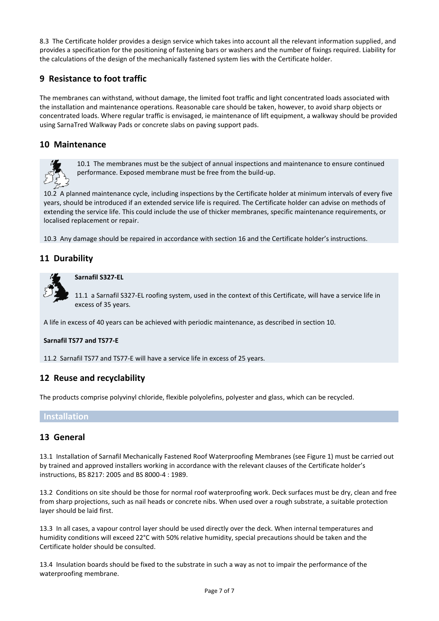8.3 The Certificate holder provides a design service which takes into account all the relevant information supplied, and provides a specification for the positioning of fastening bars or washers and the number of fixings required. Liability for the calculations of the design of the mechanically fastened system lies with the Certificate holder.

# **9 Resistance to foot traffic**

The membranes can withstand, without damage, the limited foot traffic and light concentrated loads associated with the installation and maintenance operations. Reasonable care should be taken, however, to avoid sharp objects or concentrated loads. Where regular traffic is envisaged, ie maintenance of lift equipment, a walkway should be provided using SarnaTred Walkway Pads or concrete slabs on paving support pads.

# **10 Maintenance**



10.1 The membranes must be the subject of annual inspections and maintenance to ensure continued performance. Exposed membrane must be free from the build-up.

10.2 A planned maintenance cycle, including inspections by the Certificate holder at minimum intervals of every five years, should be introduced if an extended service life is required. The Certificate holder can advise on methods of extending the service life. This could include the use of thicker membranes, specific maintenance requirements, or localised replacement or repair.

10.3 Any damage should be repaired in accordance with section 16 and the Certificate holder's instructions.

# **11 Durability**



**Sarnafil S327-EL**

11.1 a Sarnafil S327-EL roofing system, used in the context of this Certificate, will have a service life in excess of 35 years.

A life in excess of 40 years can be achieved with periodic maintenance, as described in section 10.

#### **Sarnafil TS77 and TS77-E**

11.2 Sarnafil TS77 and TS77-E will have a service life in excess of 25 years.

## **12 Reuse and recyclability**

The products comprise polyvinyl chloride, flexible polyolefins, polyester and glass, which can be recycled.

## **Installation**

## **13 General**

13.1 Installation of Sarnafil Mechanically Fastened Roof Waterproofing Membranes (see Figure 1) must be carried out by trained and approved installers working in accordance with the relevant clauses of the Certificate holder's instructions, BS 8217: 2005 and BS 8000-4 : 1989.

13.2 Conditions on site should be those for normal roof waterproofing work. Deck surfaces must be dry, clean and free from sharp projections, such as nail heads or concrete nibs. When used over a rough substrate, a suitable protection layer should be laid first.

13.3 In all cases, a vapour control layer should be used directly over the deck. When internal temperatures and humidity conditions will exceed 22°C with 50% relative humidity, special precautions should be taken and the Certificate holder should be consulted.

13.4 Insulation boards should be fixed to the substrate in such a way as not to impair the performance of the waterproofing membrane.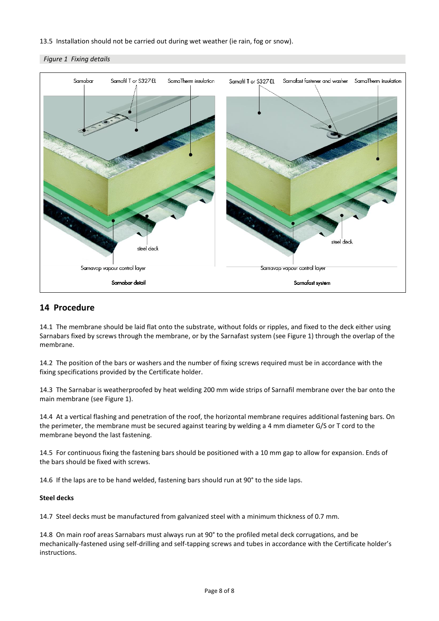#### 13.5 Installation should not be carried out during wet weather (ie rain, fog or snow).

#### *Figure 1 Fixing details*



#### **14 Procedure**

14.1 The membrane should be laid flat onto the substrate, without folds or ripples, and fixed to the deck either using Sarnabars fixed by screws through the membrane, or by the Sarnafast system (see Figure 1) through the overlap of the membrane.

14.2 The position of the bars or washers and the number of fixing screws required must be in accordance with the fixing specifications provided by the Certificate holder.

14.3 The Sarnabar is weatherproofed by heat welding 200 mm wide strips of Sarnafil membrane over the bar onto the main membrane (see Figure 1).

14.4 At a vertical flashing and penetration of the roof, the horizontal membrane requires additional fastening bars. On the perimeter, the membrane must be secured against tearing by welding a 4 mm diameter G/S or T cord to the membrane beyond the last fastening.

14.5 For continuous fixing the fastening bars should be positioned with a 10 mm gap to allow for expansion. Ends of the bars should be fixed with screws.

14.6 If the laps are to be hand welded, fastening bars should run at 90° to the side laps.

#### **Steel decks**

14.7 Steel decks must be manufactured from galvanized steel with a minimum thickness of 0.7 mm.

14.8 On main roof areas Sarnabars must always run at 90° to the profiled metal deck corrugations, and be mechanically-fastened using self-drilling and self-tapping screws and tubes in accordance with the Certificate holder's instructions.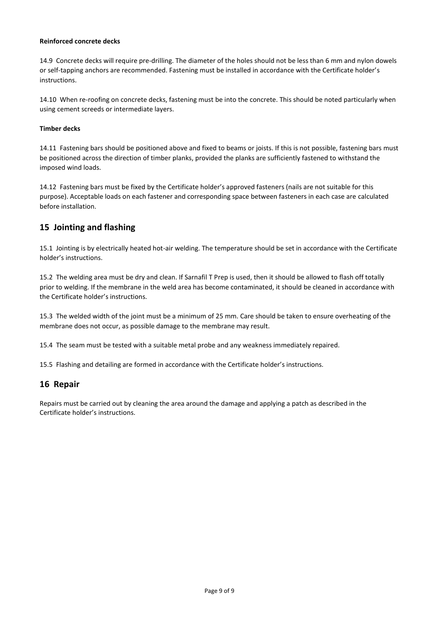#### **Reinforced concrete decks**

14.9 Concrete decks will require pre-drilling. The diameter of the holes should not be less than 6 mm and nylon dowels or self-tapping anchors are recommended. Fastening must be installed in accordance with the Certificate holder's instructions.

14.10 When re-roofing on concrete decks, fastening must be into the concrete. This should be noted particularly when using cement screeds or intermediate layers.

#### **Timber decks**

14.11 Fastening bars should be positioned above and fixed to beams or joists. If this is not possible, fastening bars must be positioned across the direction of timber planks, provided the planks are sufficiently fastened to withstand the imposed wind loads.

14.12 Fastening bars must be fixed by the Certificate holder's approved fasteners (nails are not suitable for this purpose). Acceptable loads on each fastener and corresponding space between fasteners in each case are calculated before installation.

## **15 Jointing and flashing**

15.1 Jointing is by electrically heated hot-air welding. The temperature should be set in accordance with the Certificate holder's instructions.

15.2 The welding area must be dry and clean. If Sarnafil T Prep is used, then it should be allowed to flash off totally prior to welding. If the membrane in the weld area has become contaminated, it should be cleaned in accordance with the Certificate holder's instructions.

15.3 The welded width of the joint must be a minimum of 25 mm. Care should be taken to ensure overheating of the membrane does not occur, as possible damage to the membrane may result.

15.4 The seam must be tested with a suitable metal probe and any weakness immediately repaired.

15.5 Flashing and detailing are formed in accordance with the Certificate holder's instructions.

#### **16 Repair**

Repairs must be carried out by cleaning the area around the damage and applying a patch as described in the Certificate holder's instructions.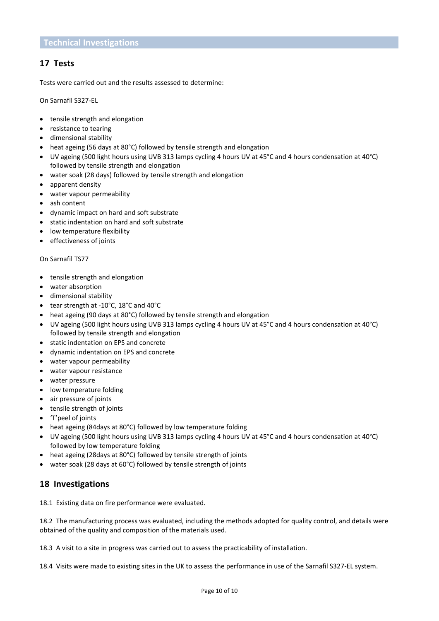# **17 Tests**

Tests were carried out and the results assessed to determine:

On Sarnafil S327-EL

- tensile strength and elongation
- resistance to tearing
- dimensional stability
- heat ageing (56 days at 80°C) followed by tensile strength and elongation
- UV ageing (500 light hours using UVB 313 lamps cycling 4 hours UV at 45°C and 4 hours condensation at 40°C) followed by tensile strength and elongation
- water soak (28 days) followed by tensile strength and elongation
- apparent density
- water vapour permeability
- ash content
- dynamic impact on hard and soft substrate
- static indentation on hard and soft substrate
- low temperature flexibility
- effectiveness of joints

#### On Sarnafil TS77

- tensile strength and elongation
- water absorption
- dimensional stability
- tear strength at -10°C, 18°C and 40°C
- heat ageing (90 days at 80°C) followed by tensile strength and elongation
- UV ageing (500 light hours using UVB 313 lamps cycling 4 hours UV at 45°C and 4 hours condensation at 40°C) followed by tensile strength and elongation
- static indentation on EPS and concrete
- dynamic indentation on EPS and concrete
- water vapour permeability
- water vapour resistance
- water pressure
- low temperature folding
- air pressure of joints
- tensile strength of joints
- 'T'peel of joints
- heat ageing (84days at 80°C) followed by low temperature folding
- UV ageing (500 light hours using UVB 313 lamps cycling 4 hours UV at 45°C and 4 hours condensation at 40°C) followed by low temperature folding
- heat ageing (28days at 80°C) followed by tensile strength of joints
- water soak (28 days at 60°C) followed by tensile strength of joints

# **18 Investigations**

18.1 Existing data on fire performance were evaluated.

18.2 The manufacturing process was evaluated, including the methods adopted for quality control, and details were obtained of the quality and composition of the materials used.

18.3 A visit to a site in progress was carried out to assess the practicability of installation.

18.4 Visits were made to existing sites in the UK to assess the performance in use of the Sarnafil S327-EL system.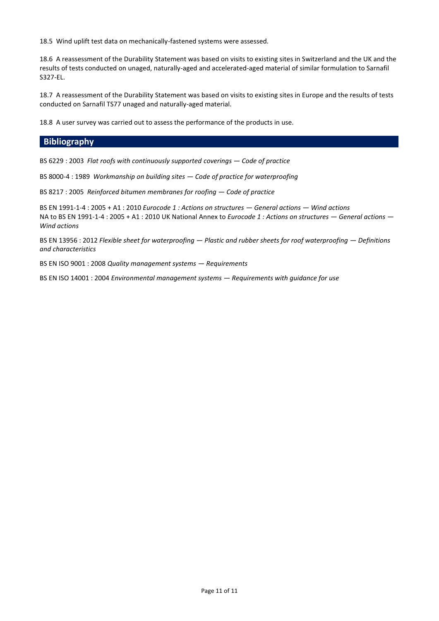18.5 Wind uplift test data on mechanically-fastened systems were assessed.

18.6 A reassessment of the Durability Statement was based on visits to existing sites in Switzerland and the UK and the results of tests conducted on unaged, naturally-aged and accelerated-aged material of similar formulation to Sarnafil S327-EL.

18.7 A reassessment of the Durability Statement was based on visits to existing sites in Europe and the results of tests conducted on Sarnafil TS77 unaged and naturally-aged material.

18.8 A user survey was carried out to assess the performance of the products in use.

### **Bibliography**

BS 6229 : 2003 *Flat roofs with continuously supported coverings — Code of practice*

BS 8000-4 : 1989 *Workmanship on building sites — Code of practice for waterproofing*

BS 8217 : 2005 *Reinforced bitumen membranes for roofing — Code of practice*

BS EN 1991-1-4 : 2005 + A1 : 2010 *Eurocode 1 : Actions on structures — General actions — Wind actions* NA to BS EN 1991-1-4 : 2005 + A1 : 2010 UK National Annex to *Eurocode 1 : Actions on structures — General actions — Wind actions*

BS EN 13956 : 2012 *Flexible sheet for waterproofing — Plastic and rubber sheets for roof waterproofing — Definitions and characteristics*

BS EN ISO 9001 : 2008 *Quality management systems — Requirements*

BS EN ISO 14001 : 2004 *Environmental management systems — Requirements with guidance for use*